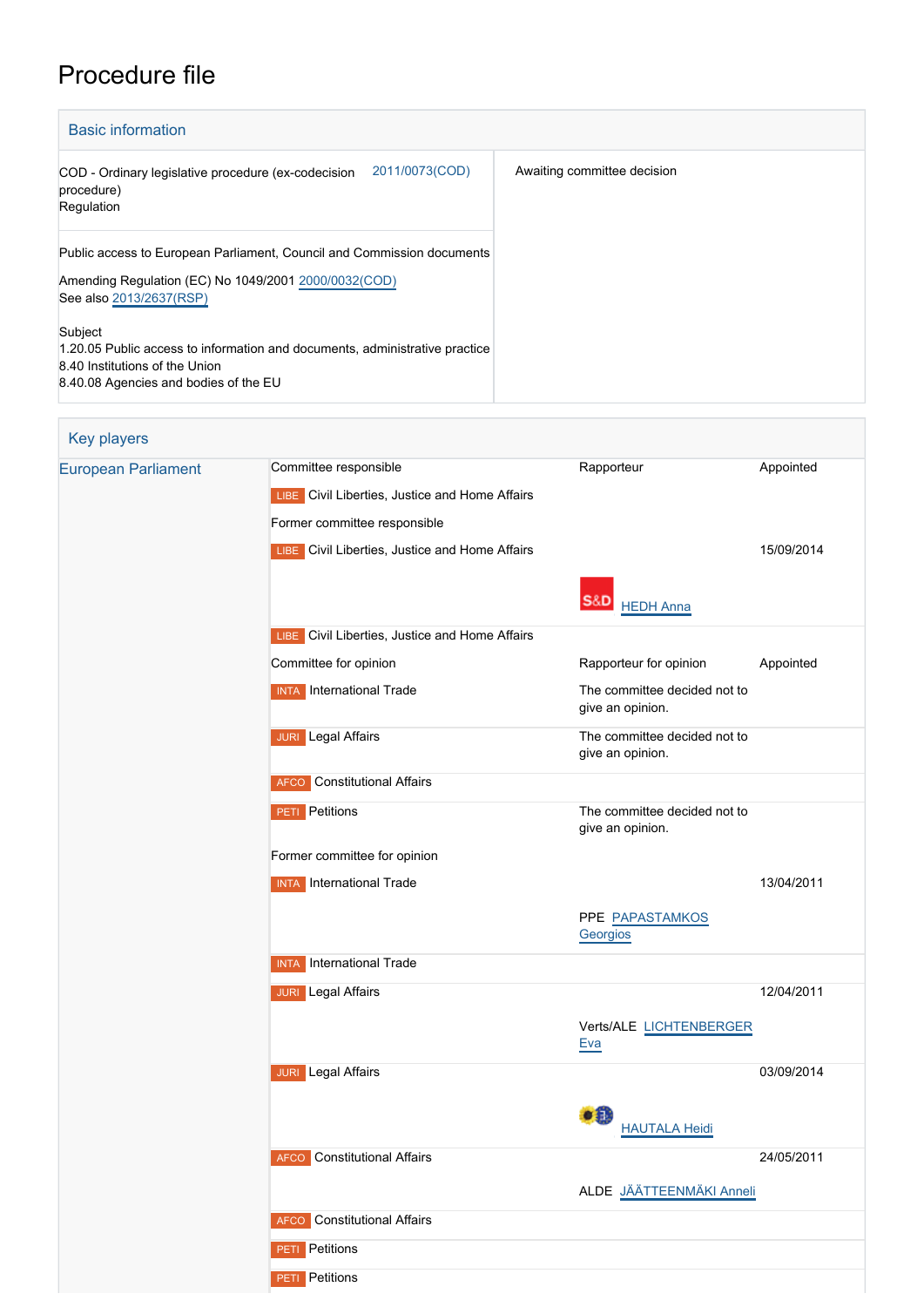## Procedure file

| <b>Basic information</b>                                                                                                                                          |                             |  |  |  |
|-------------------------------------------------------------------------------------------------------------------------------------------------------------------|-----------------------------|--|--|--|
| 2011/0073(COD)<br>COD - Ordinary legislative procedure (ex-codecision<br>procedure)<br>Regulation                                                                 | Awaiting committee decision |  |  |  |
| Public access to European Parliament, Council and Commission documents<br>Amending Regulation (EC) No 1049/2001 2000/0032(COD)<br>See also 2013/2637(RSP)         |                             |  |  |  |
| Subject<br>1.20.05 Public access to information and documents, administrative practice<br>8.40 Institutions of the Union<br>8.40.08 Agencies and bodies of the EU |                             |  |  |  |

| Key players                |                                                |                                                  |            |  |  |
|----------------------------|------------------------------------------------|--------------------------------------------------|------------|--|--|
| <b>European Parliament</b> | Committee responsible                          | Rapporteur                                       | Appointed  |  |  |
|                            | LIBE Civil Liberties, Justice and Home Affairs |                                                  |            |  |  |
|                            | Former committee responsible                   |                                                  |            |  |  |
|                            | LIBE Civil Liberties, Justice and Home Affairs |                                                  | 15/09/2014 |  |  |
|                            |                                                | S&D<br><b>HEDH Anna</b>                          |            |  |  |
|                            | LIBE Civil Liberties, Justice and Home Affairs |                                                  |            |  |  |
|                            | Committee for opinion                          | Rapporteur for opinion                           | Appointed  |  |  |
|                            | <b>INTA</b> International Trade                | The committee decided not to<br>give an opinion. |            |  |  |
|                            | <b>JURI</b> Legal Affairs                      | The committee decided not to<br>give an opinion. |            |  |  |
|                            | <b>AFCO</b> Constitutional Affairs             |                                                  |            |  |  |
|                            | <b>PETI</b> Petitions                          | The committee decided not to<br>give an opinion. |            |  |  |
|                            | Former committee for opinion                   |                                                  |            |  |  |
|                            | <b>INTA</b> International Trade                |                                                  | 13/04/2011 |  |  |
|                            |                                                | PPE PAPASTAMKOS<br>Georgios                      |            |  |  |
|                            | <b>International Trade</b><br><b>INTA</b>      |                                                  |            |  |  |
|                            | <b>JURI</b> Legal Affairs                      |                                                  | 12/04/2011 |  |  |
|                            |                                                | Verts/ALE LICHTENBERGER<br><u>Eva</u>            |            |  |  |
|                            | <b>JURI</b> Legal Affairs                      |                                                  | 03/09/2014 |  |  |
|                            |                                                | $\bullet$ 0<br><b>HAUTALA Heidi</b>              |            |  |  |
|                            | <b>AFCO</b> Constitutional Affairs             |                                                  | 24/05/2011 |  |  |
|                            |                                                | ALDE JÄÄTTEENMÄKI Anneli                         |            |  |  |
|                            | <b>Constitutional Affairs</b><br><b>AFCO</b>   |                                                  |            |  |  |
|                            | <b>PETI</b> Petitions                          |                                                  |            |  |  |
|                            | <b>PETI</b> Petitions                          |                                                  |            |  |  |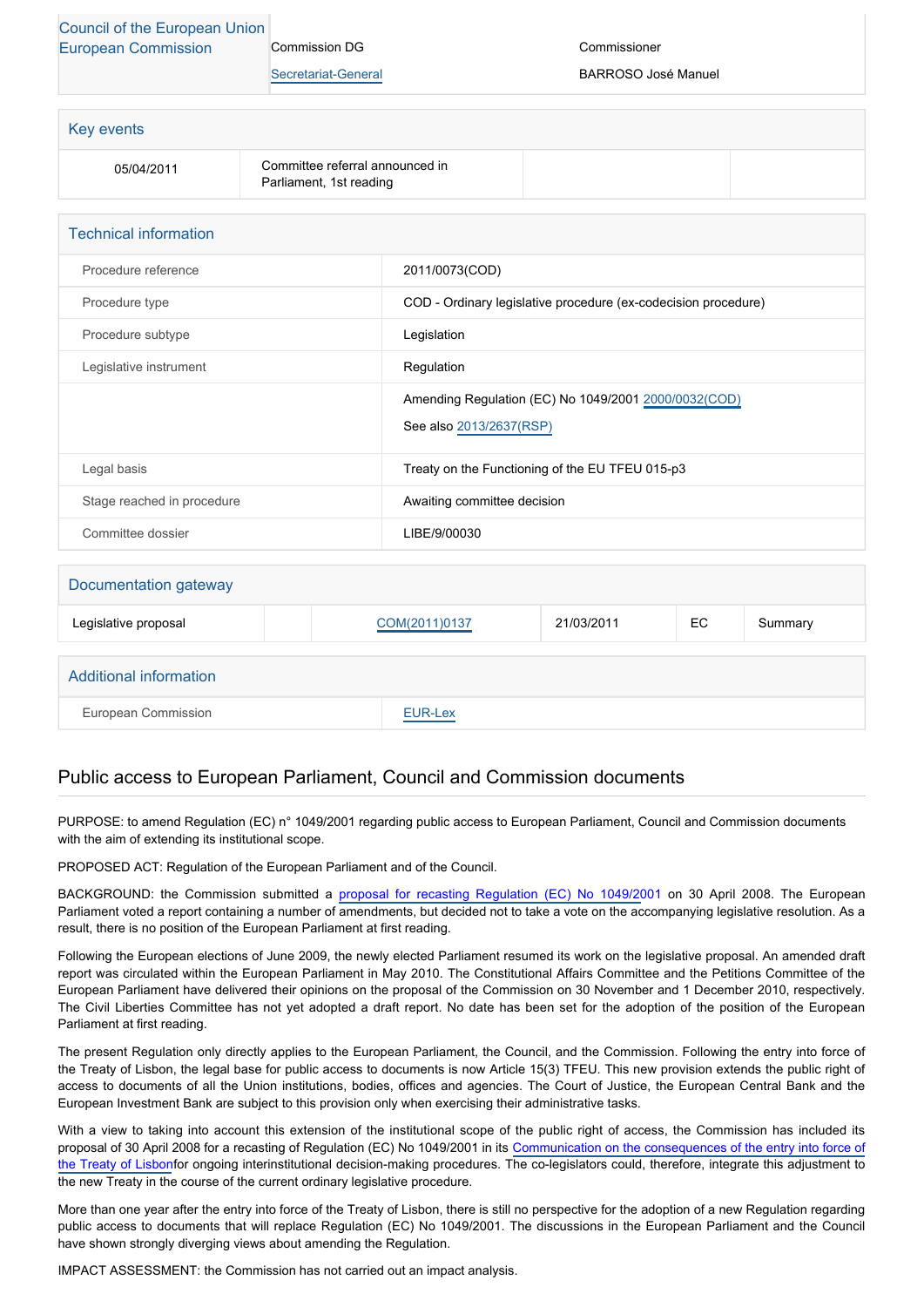## [Council of the European Union](http://www.consilium.europa.eu) [European Commission](http://ec.europa.eu/) Commission DG

[Secretariat-General](http://ec.europa.eu/info/departments/secretariat-general_en)

Commissioner

BARROSO José Manuel

| <b>Key events</b> |                                                            |  |
|-------------------|------------------------------------------------------------|--|
| 05/04/2011        | Committee referral announced in<br>Parliament, 1st reading |  |

| <b>Technical information</b> |                                                                                 |
|------------------------------|---------------------------------------------------------------------------------|
| Procedure reference          | 2011/0073(COD)                                                                  |
| Procedure type               | COD - Ordinary legislative procedure (ex-codecision procedure)                  |
| Procedure subtype            | Legislation                                                                     |
| Legislative instrument       | Regulation                                                                      |
|                              | Amending Regulation (EC) No 1049/2001 2000/0032(COD)<br>See also 2013/2637(RSP) |
|                              |                                                                                 |
| Legal basis                  | Treaty on the Functioning of the EU TFEU 015-p3                                 |
| Stage reached in procedure   | Awaiting committee decision                                                     |
| Committee dossier            | LIBE/9/00030                                                                    |

| Documentation gateway  |  |               |            |     |         |
|------------------------|--|---------------|------------|-----|---------|
| Legislative proposal   |  | COM(2011)0137 | 21/03/2011 | EC. | Summary |
|                        |  |               |            |     |         |
| Additional information |  |               |            |     |         |
| European Commission    |  | EUR-Lex       |            |     |         |

## Public access to European Parliament, Council and Commission documents

PURPOSE: to amend Regulation (EC) n° 1049/2001 regarding public access to European Parliament, Council and Commission documents with the aim of extending its institutional scope.

PROPOSED ACT: Regulation of the European Parliament and of the Council.

BACKGROUND: the Commission submitted a [proposal for recasting Regulation \(EC\) No 1049/20](http://www.europarl.europa.eu/oeil/FindByProcnum.do?lang=en&procnum=COD/2008/0090)01 on 30 April 2008. The European Parliament voted a report containing a number of amendments, but decided not to take a vote on the accompanying legislative resolution. As a result, there is no position of the European Parliament at first reading.

Following the European elections of June 2009, the newly elected Parliament resumed its work on the legislative proposal. An amended draft report was circulated within the European Parliament in May 2010. The Constitutional Affairs Committee and the Petitions Committee of the European Parliament have delivered their opinions on the proposal of the Commission on 30 November and 1 December 2010, respectively. The Civil Liberties Committee has not yet adopted a draft report. No date has been set for the adoption of the position of the European Parliament at first reading.

The present Regulation only directly applies to the European Parliament, the Council, and the Commission. Following the entry into force of the Treaty of Lisbon, the legal base for public access to documents is now Article 15(3) TFEU. This new provision extends the public right of access to documents of all the Union institutions, bodies, offices and agencies. The Court of Justice, the European Central Bank and the European Investment Bank are subject to this provision only when exercising their administrative tasks.

With a view to taking into account this extension of the institutional scope of the public right of access, the Commission has included its proposal of 30 April 2008 for a recasting of Regulation (EC) No 1049/2001 in its [Communication on the consequences of the entry into force of](http://www.eur-lex.europa.eu/LexUriServ/LexUriServ.do?uri=COM:2009:0665:FIN:EN:PDF) [the Treaty of Lisbon](http://www.eur-lex.europa.eu/LexUriServ/LexUriServ.do?uri=COM:2009:0665:FIN:EN:PDF)for ongoing interinstitutional decision-making procedures. The co-legislators could, therefore, integrate this adjustment to the new Treaty in the course of the current ordinary legislative procedure.

More than one year after the entry into force of the Treaty of Lisbon, there is still no perspective for the adoption of a new Regulation regarding public access to documents that will replace Regulation (EC) No 1049/2001. The discussions in the European Parliament and the Council have shown strongly diverging views about amending the Regulation.

IMPACT ASSESSMENT: the Commission has not carried out an impact analysis.